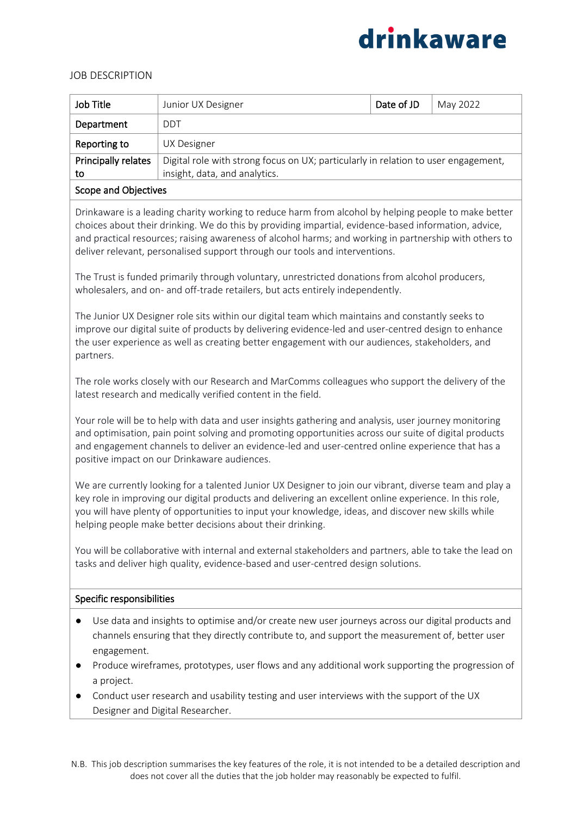## drinkaware

#### JOB DESCRIPTION

| Job Title            | Junior UX Designer                                                                 | Date of JD | May 2022 |
|----------------------|------------------------------------------------------------------------------------|------------|----------|
| Department           | DDT                                                                                |            |          |
| Reporting to         | UX Designer                                                                        |            |          |
| Principally relates  | Digital role with strong focus on UX; particularly in relation to user engagement, |            |          |
| to                   | insight, data, and analytics.                                                      |            |          |
| Scope and Objectives |                                                                                    |            |          |

Drinkaware is a leading charity working to reduce harm from alcohol by helping people to make better choices about their drinking. We do this by providing impartial, evidence-based information, advice, and practical resources; raising awareness of alcohol harms; and working in partnership with others to deliver relevant, personalised support through our tools and interventions.

The Trust is funded primarily through voluntary, unrestricted donations from alcohol producers, wholesalers, and on- and off-trade retailers, but acts entirely independently.

The Junior UX Designer role sits within our digital team which maintains and constantly seeks to improve our digital suite of products by delivering evidence-led and user-centred design to enhance the user experience as well as creating better engagement with our audiences, stakeholders, and partners.

The role works closely with our Research and MarComms colleagues who support the delivery of the latest research and medically verified content in the field.

Your role will be to help with data and user insights gathering and analysis, user journey monitoring and optimisation, pain point solving and promoting opportunities across our suite of digital products and engagement channels to deliver an evidence-led and user-centred online experience that has a positive impact on our Drinkaware audiences.

We are currently looking for a talented Junior UX Designer to join our vibrant, diverse team and play a key role in improving our digital products and delivering an excellent online experience. In this role, you will have plenty of opportunities to input your knowledge, ideas, and discover new skills while helping people make better decisions about their drinking.

You will be collaborative with internal and external stakeholders and partners, able to take the lead on tasks and deliver high quality, evidence-based and user-centred design solutions.

#### Specific responsibilities

- Use data and insights to optimise and/or create new user journeys across our digital products and channels ensuring that they directly contribute to, and support the measurement of, better user engagement.
- Produce wireframes, prototypes, user flows and any additional work supporting the progression of a project.
- Conduct user research and usability testing and user interviews with the support of the UX Designer and Digital Researcher.

N.B. This job description summarises the key features of the role, it is not intended to be a detailed description and does not cover all the duties that the job holder may reasonably be expected to fulfil.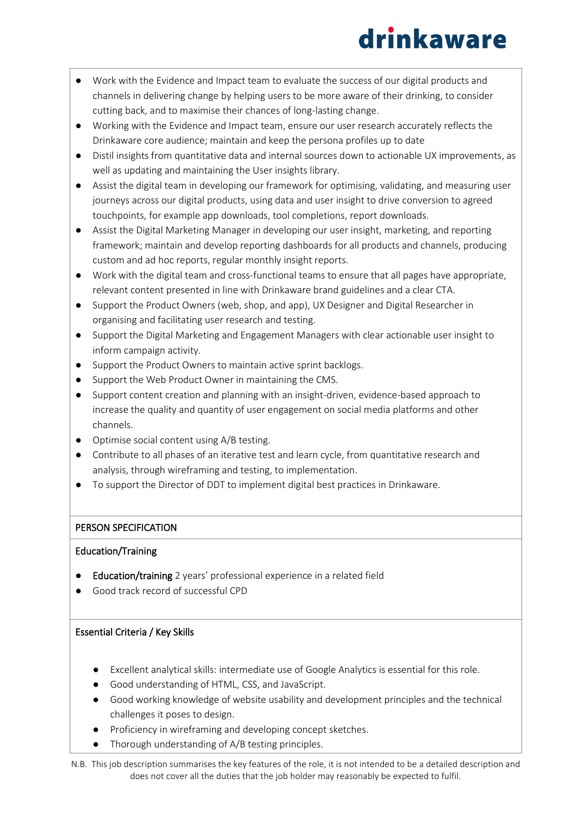# drinkaware

- Work with the Evidence and Impact team to evaluate the success of our digital products and channels in delivering change by helping users to be more aware of their drinking, to consider cutting back, and to maximise their chances of long-lasting change.
- Working with the Evidence and Impact team, ensure our user research accurately reflects the Drinkaware core audience; maintain and keep the persona profiles up to date
- Distil insights from quantitative data and internal sources down to actionable UX improvements, as well as updating and maintaining the User insights library.
- Assist the digital team in developing our framework for optimising, validating, and measuring user journeys across our digital products, using data and user insight to drive conversion to agreed touchpoints, for example app downloads, tool completions, report downloads.
- Assist the Digital Marketing Manager in developing our user insight, marketing, and reporting framework; maintain and develop reporting dashboards for all products and channels, producing custom and ad hoc reports, regular monthly insight reports.
- Work with the digital team and cross-functional teams to ensure that all pages have appropriate, relevant content presented in line with Drinkaware brand guidelines and a clear CTA.
- Support the Product Owners (web, shop, and app), UX Designer and Digital Researcher in organising and facilitating user research and testing.
- Support the Digital Marketing and Engagement Managers with clear actionable user insight to inform campaign activity.
- Support the Product Owners to maintain active sprint backlogs.
- Support the Web Product Owner in maintaining the CMS.
- Support content creation and planning with an insight-driven, evidence-based approach to increase the quality and quantity of user engagement on social media platforms and other channels.
- Optimise social content using A/B testing.
- Contribute to all phases of an iterative test and learn cycle, from quantitative research and analysis, through wireframing and testing, to implementation.
- To support the Director of DDT to implement digital best practices in Drinkaware.

## PERSON SPECIFICATION

## Education/Training

- Education/training 2 years' professional experience in a related field
- Good track record of successful CPD

## Essential Criteria / Key Skills

- Excellent analytical skills: intermediate use of Google Analytics is essential for this role.
- Good understanding of HTML, CSS, and JavaScript.
- Good working knowledge of website usability and development principles and the technical challenges it poses to design.
- Proficiency in wireframing and developing concept sketches.
- Thorough understanding of A/B testing principles.

N.B. This job description summarises the key features of the role, it is not intended to be a detailed description and does not cover all the duties that the job holder may reasonably be expected to fulfil.